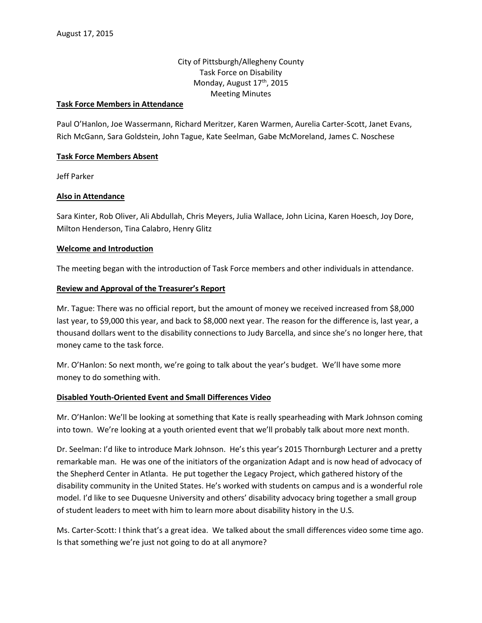# City of Pittsburgh/Allegheny County Task Force on Disability Monday, August 17<sup>th</sup>, 2015 Meeting Minutes

#### **Task Force Members in Attendance**

Paul O'Hanlon, Joe Wassermann, Richard Meritzer, Karen Warmen, Aurelia Carter-Scott, Janet Evans, Rich McGann, Sara Goldstein, John Tague, Kate Seelman, Gabe McMoreland, James C. Noschese

#### **Task Force Members Absent**

Jeff Parker

### **Also in Attendance**

Sara Kinter, Rob Oliver, Ali Abdullah, Chris Meyers, Julia Wallace, John Licina, Karen Hoesch, Joy Dore, Milton Henderson, Tina Calabro, Henry Glitz

### **Welcome and Introduction**

The meeting began with the introduction of Task Force members and other individuals in attendance.

### **Review and Approval of the Treasurer's Report**

Mr. Tague: There was no official report, but the amount of money we received increased from \$8,000 last year, to \$9,000 this year, and back to \$8,000 next year. The reason for the difference is, last year, a thousand dollars went to the disability connections to Judy Barcella, and since she's no longer here, that money came to the task force.

Mr. O'Hanlon: So next month, we're going to talk about the year's budget. We'll have some more money to do something with.

### **Disabled Youth-Oriented Event and Small Differences Video**

Mr. O'Hanlon: We'll be looking at something that Kate is really spearheading with Mark Johnson coming into town. We're looking at a youth oriented event that we'll probably talk about more next month.

Dr. Seelman: I'd like to introduce Mark Johnson. He's this year's 2015 Thornburgh Lecturer and a pretty remarkable man. He was one of the initiators of the organization Adapt and is now head of advocacy of the Shepherd Center in Atlanta. He put together the Legacy Project, which gathered history of the disability community in the United States. He's worked with students on campus and is a wonderful role model. I'd like to see Duquesne University and others' disability advocacy bring together a small group of student leaders to meet with him to learn more about disability history in the U.S.

Ms. Carter-Scott: I think that's a great idea. We talked about the small differences video some time ago. Is that something we're just not going to do at all anymore?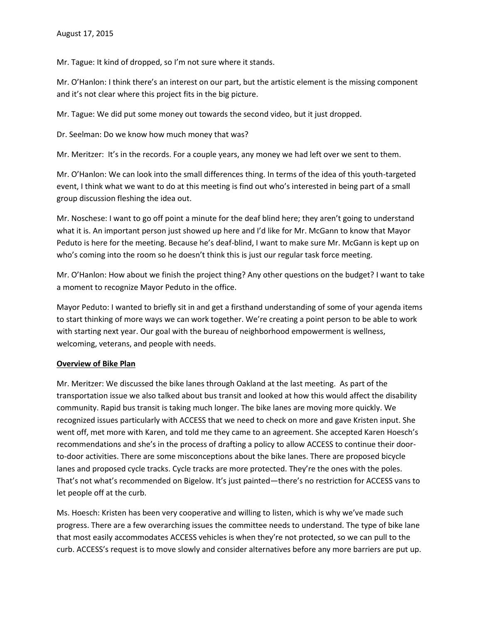Mr. Tague: It kind of dropped, so I'm not sure where it stands.

Mr. O'Hanlon: I think there's an interest on our part, but the artistic element is the missing component and it's not clear where this project fits in the big picture.

Mr. Tague: We did put some money out towards the second video, but it just dropped.

Dr. Seelman: Do we know how much money that was?

Mr. Meritzer: It's in the records. For a couple years, any money we had left over we sent to them.

Mr. O'Hanlon: We can look into the small differences thing. In terms of the idea of this youth-targeted event, I think what we want to do at this meeting is find out who's interested in being part of a small group discussion fleshing the idea out.

Mr. Noschese: I want to go off point a minute for the deaf blind here; they aren't going to understand what it is. An important person just showed up here and I'd like for Mr. McGann to know that Mayor Peduto is here for the meeting. Because he's deaf-blind, I want to make sure Mr. McGann is kept up on who's coming into the room so he doesn't think this is just our regular task force meeting.

Mr. O'Hanlon: How about we finish the project thing? Any other questions on the budget? I want to take a moment to recognize Mayor Peduto in the office.

Mayor Peduto: I wanted to briefly sit in and get a firsthand understanding of some of your agenda items to start thinking of more ways we can work together. We're creating a point person to be able to work with starting next year. Our goal with the bureau of neighborhood empowerment is wellness, welcoming, veterans, and people with needs.

## **Overview of Bike Plan**

Mr. Meritzer: We discussed the bike lanes through Oakland at the last meeting. As part of the transportation issue we also talked about bus transit and looked at how this would affect the disability community. Rapid bus transit is taking much longer. The bike lanes are moving more quickly. We recognized issues particularly with ACCESS that we need to check on more and gave Kristen input. She went off, met more with Karen, and told me they came to an agreement. She accepted Karen Hoesch's recommendations and she's in the process of drafting a policy to allow ACCESS to continue their doorto-door activities. There are some misconceptions about the bike lanes. There are proposed bicycle lanes and proposed cycle tracks. Cycle tracks are more protected. They're the ones with the poles. That's not what's recommended on Bigelow. It's just painted—there's no restriction for ACCESS vans to let people off at the curb.

Ms. Hoesch: Kristen has been very cooperative and willing to listen, which is why we've made such progress. There are a few overarching issues the committee needs to understand. The type of bike lane that most easily accommodates ACCESS vehicles is when they're not protected, so we can pull to the curb. ACCESS's request is to move slowly and consider alternatives before any more barriers are put up.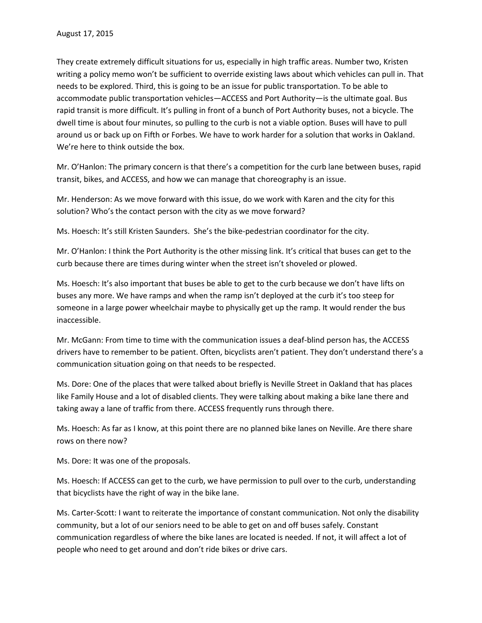They create extremely difficult situations for us, especially in high traffic areas. Number two, Kristen writing a policy memo won't be sufficient to override existing laws about which vehicles can pull in. That needs to be explored. Third, this is going to be an issue for public transportation. To be able to accommodate public transportation vehicles—ACCESS and Port Authority—is the ultimate goal. Bus rapid transit is more difficult. It's pulling in front of a bunch of Port Authority buses, not a bicycle. The dwell time is about four minutes, so pulling to the curb is not a viable option. Buses will have to pull around us or back up on Fifth or Forbes. We have to work harder for a solution that works in Oakland. We're here to think outside the box.

Mr. O'Hanlon: The primary concern is that there's a competition for the curb lane between buses, rapid transit, bikes, and ACCESS, and how we can manage that choreography is an issue.

Mr. Henderson: As we move forward with this issue, do we work with Karen and the city for this solution? Who's the contact person with the city as we move forward?

Ms. Hoesch: It's still Kristen Saunders. She's the bike-pedestrian coordinator for the city.

Mr. O'Hanlon: I think the Port Authority is the other missing link. It's critical that buses can get to the curb because there are times during winter when the street isn't shoveled or plowed.

Ms. Hoesch: It's also important that buses be able to get to the curb because we don't have lifts on buses any more. We have ramps and when the ramp isn't deployed at the curb it's too steep for someone in a large power wheelchair maybe to physically get up the ramp. It would render the bus inaccessible.

Mr. McGann: From time to time with the communication issues a deaf-blind person has, the ACCESS drivers have to remember to be patient. Often, bicyclists aren't patient. They don't understand there's a communication situation going on that needs to be respected.

Ms. Dore: One of the places that were talked about briefly is Neville Street in Oakland that has places like Family House and a lot of disabled clients. They were talking about making a bike lane there and taking away a lane of traffic from there. ACCESS frequently runs through there.

Ms. Hoesch: As far as I know, at this point there are no planned bike lanes on Neville. Are there share rows on there now?

Ms. Dore: It was one of the proposals.

Ms. Hoesch: If ACCESS can get to the curb, we have permission to pull over to the curb, understanding that bicyclists have the right of way in the bike lane.

Ms. Carter-Scott: I want to reiterate the importance of constant communication. Not only the disability community, but a lot of our seniors need to be able to get on and off buses safely. Constant communication regardless of where the bike lanes are located is needed. If not, it will affect a lot of people who need to get around and don't ride bikes or drive cars.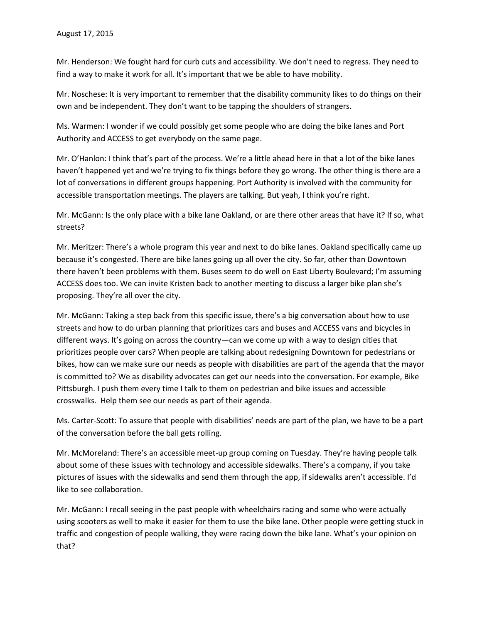Mr. Henderson: We fought hard for curb cuts and accessibility. We don't need to regress. They need to find a way to make it work for all. It's important that we be able to have mobility.

Mr. Noschese: It is very important to remember that the disability community likes to do things on their own and be independent. They don't want to be tapping the shoulders of strangers.

Ms. Warmen: I wonder if we could possibly get some people who are doing the bike lanes and Port Authority and ACCESS to get everybody on the same page.

Mr. O'Hanlon: I think that's part of the process. We're a little ahead here in that a lot of the bike lanes haven't happened yet and we're trying to fix things before they go wrong. The other thing is there are a lot of conversations in different groups happening. Port Authority is involved with the community for accessible transportation meetings. The players are talking. But yeah, I think you're right.

Mr. McGann: Is the only place with a bike lane Oakland, or are there other areas that have it? If so, what streets?

Mr. Meritzer: There's a whole program this year and next to do bike lanes. Oakland specifically came up because it's congested. There are bike lanes going up all over the city. So far, other than Downtown there haven't been problems with them. Buses seem to do well on East Liberty Boulevard; I'm assuming ACCESS does too. We can invite Kristen back to another meeting to discuss a larger bike plan she's proposing. They're all over the city.

Mr. McGann: Taking a step back from this specific issue, there's a big conversation about how to use streets and how to do urban planning that prioritizes cars and buses and ACCESS vans and bicycles in different ways. It's going on across the country—can we come up with a way to design cities that prioritizes people over cars? When people are talking about redesigning Downtown for pedestrians or bikes, how can we make sure our needs as people with disabilities are part of the agenda that the mayor is committed to? We as disability advocates can get our needs into the conversation. For example, Bike Pittsburgh. I push them every time I talk to them on pedestrian and bike issues and accessible crosswalks. Help them see our needs as part of their agenda.

Ms. Carter-Scott: To assure that people with disabilities' needs are part of the plan, we have to be a part of the conversation before the ball gets rolling.

Mr. McMoreland: There's an accessible meet-up group coming on Tuesday. They're having people talk about some of these issues with technology and accessible sidewalks. There's a company, if you take pictures of issues with the sidewalks and send them through the app, if sidewalks aren't accessible. I'd like to see collaboration.

Mr. McGann: I recall seeing in the past people with wheelchairs racing and some who were actually using scooters as well to make it easier for them to use the bike lane. Other people were getting stuck in traffic and congestion of people walking, they were racing down the bike lane. What's your opinion on that?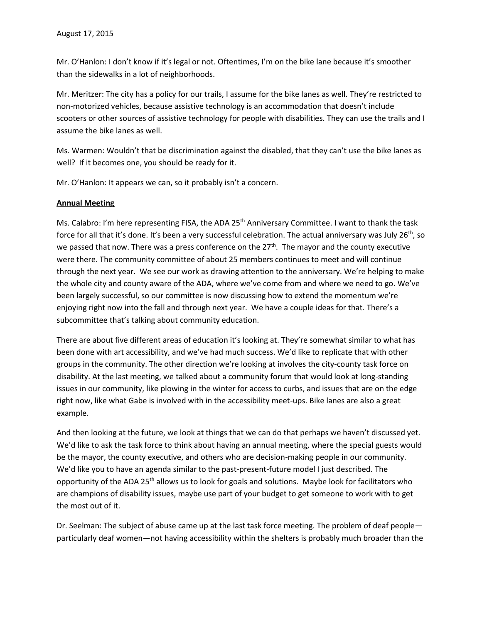Mr. O'Hanlon: I don't know if it's legal or not. Oftentimes, I'm on the bike lane because it's smoother than the sidewalks in a lot of neighborhoods.

Mr. Meritzer: The city has a policy for our trails, I assume for the bike lanes as well. They're restricted to non-motorized vehicles, because assistive technology is an accommodation that doesn't include scooters or other sources of assistive technology for people with disabilities. They can use the trails and I assume the bike lanes as well.

Ms. Warmen: Wouldn't that be discrimination against the disabled, that they can't use the bike lanes as well? If it becomes one, you should be ready for it.

Mr. O'Hanlon: It appears we can, so it probably isn't a concern.

### **Annual Meeting**

Ms. Calabro: I'm here representing FISA, the ADA 25<sup>th</sup> Anniversary Committee. I want to thank the task force for all that it's done. It's been a very successful celebration. The actual anniversary was July  $26^{th}$ , so we passed that now. There was a press conference on the 27<sup>th</sup>. The mayor and the county executive were there. The community committee of about 25 members continues to meet and will continue through the next year. We see our work as drawing attention to the anniversary. We're helping to make the whole city and county aware of the ADA, where we've come from and where we need to go. We've been largely successful, so our committee is now discussing how to extend the momentum we're enjoying right now into the fall and through next year. We have a couple ideas for that. There's a subcommittee that's talking about community education.

There are about five different areas of education it's looking at. They're somewhat similar to what has been done with art accessibility, and we've had much success. We'd like to replicate that with other groups in the community. The other direction we're looking at involves the city-county task force on disability. At the last meeting, we talked about a community forum that would look at long-standing issues in our community, like plowing in the winter for access to curbs, and issues that are on the edge right now, like what Gabe is involved with in the accessibility meet-ups. Bike lanes are also a great example.

And then looking at the future, we look at things that we can do that perhaps we haven't discussed yet. We'd like to ask the task force to think about having an annual meeting, where the special guests would be the mayor, the county executive, and others who are decision-making people in our community. We'd like you to have an agenda similar to the past-present-future model I just described. The opportunity of the ADA 25<sup>th</sup> allows us to look for goals and solutions. Maybe look for facilitators who are champions of disability issues, maybe use part of your budget to get someone to work with to get the most out of it.

Dr. Seelman: The subject of abuse came up at the last task force meeting. The problem of deaf people particularly deaf women—not having accessibility within the shelters is probably much broader than the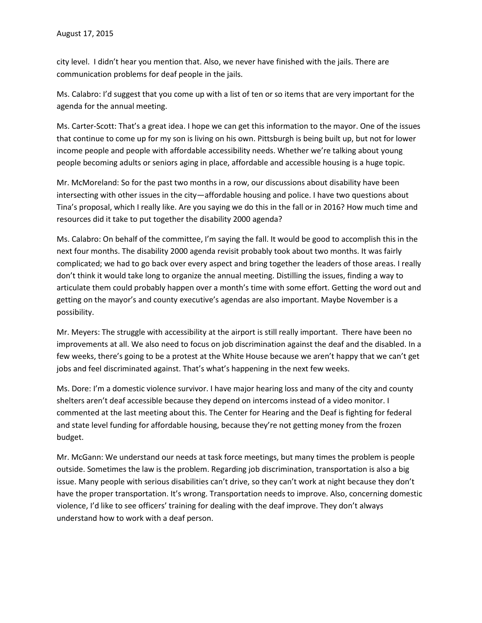city level. I didn't hear you mention that. Also, we never have finished with the jails. There are communication problems for deaf people in the jails.

Ms. Calabro: I'd suggest that you come up with a list of ten or so items that are very important for the agenda for the annual meeting.

Ms. Carter-Scott: That's a great idea. I hope we can get this information to the mayor. One of the issues that continue to come up for my son is living on his own. Pittsburgh is being built up, but not for lower income people and people with affordable accessibility needs. Whether we're talking about young people becoming adults or seniors aging in place, affordable and accessible housing is a huge topic.

Mr. McMoreland: So for the past two months in a row, our discussions about disability have been intersecting with other issues in the city—affordable housing and police. I have two questions about Tina's proposal, which I really like. Are you saying we do this in the fall or in 2016? How much time and resources did it take to put together the disability 2000 agenda?

Ms. Calabro: On behalf of the committee, I'm saying the fall. It would be good to accomplish this in the next four months. The disability 2000 agenda revisit probably took about two months. It was fairly complicated; we had to go back over every aspect and bring together the leaders of those areas. I really don't think it would take long to organize the annual meeting. Distilling the issues, finding a way to articulate them could probably happen over a month's time with some effort. Getting the word out and getting on the mayor's and county executive's agendas are also important. Maybe November is a possibility.

Mr. Meyers: The struggle with accessibility at the airport is still really important. There have been no improvements at all. We also need to focus on job discrimination against the deaf and the disabled. In a few weeks, there's going to be a protest at the White House because we aren't happy that we can't get jobs and feel discriminated against. That's what's happening in the next few weeks.

Ms. Dore: I'm a domestic violence survivor. I have major hearing loss and many of the city and county shelters aren't deaf accessible because they depend on intercoms instead of a video monitor. I commented at the last meeting about this. The Center for Hearing and the Deaf is fighting for federal and state level funding for affordable housing, because they're not getting money from the frozen budget.

Mr. McGann: We understand our needs at task force meetings, but many times the problem is people outside. Sometimes the law is the problem. Regarding job discrimination, transportation is also a big issue. Many people with serious disabilities can't drive, so they can't work at night because they don't have the proper transportation. It's wrong. Transportation needs to improve. Also, concerning domestic violence, I'd like to see officers' training for dealing with the deaf improve. They don't always understand how to work with a deaf person.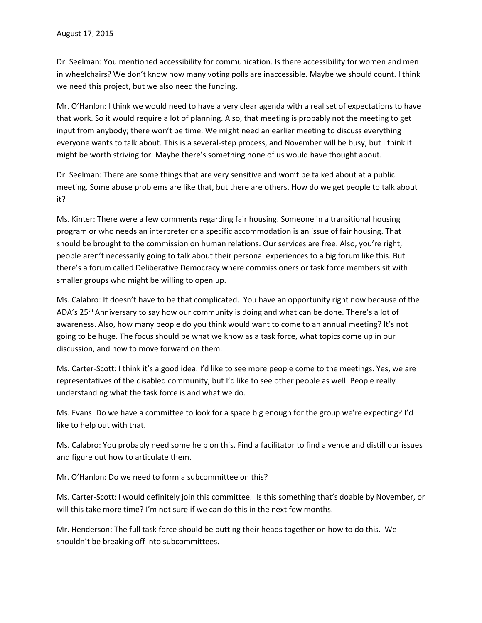Dr. Seelman: You mentioned accessibility for communication. Is there accessibility for women and men in wheelchairs? We don't know how many voting polls are inaccessible. Maybe we should count. I think we need this project, but we also need the funding.

Mr. O'Hanlon: I think we would need to have a very clear agenda with a real set of expectations to have that work. So it would require a lot of planning. Also, that meeting is probably not the meeting to get input from anybody; there won't be time. We might need an earlier meeting to discuss everything everyone wants to talk about. This is a several-step process, and November will be busy, but I think it might be worth striving for. Maybe there's something none of us would have thought about.

Dr. Seelman: There are some things that are very sensitive and won't be talked about at a public meeting. Some abuse problems are like that, but there are others. How do we get people to talk about it?

Ms. Kinter: There were a few comments regarding fair housing. Someone in a transitional housing program or who needs an interpreter or a specific accommodation is an issue of fair housing. That should be brought to the commission on human relations. Our services are free. Also, you're right, people aren't necessarily going to talk about their personal experiences to a big forum like this. But there's a forum called Deliberative Democracy where commissioners or task force members sit with smaller groups who might be willing to open up.

Ms. Calabro: It doesn't have to be that complicated. You have an opportunity right now because of the ADA's 25<sup>th</sup> Anniversary to say how our community is doing and what can be done. There's a lot of awareness. Also, how many people do you think would want to come to an annual meeting? It's not going to be huge. The focus should be what we know as a task force, what topics come up in our discussion, and how to move forward on them.

Ms. Carter-Scott: I think it's a good idea. I'd like to see more people come to the meetings. Yes, we are representatives of the disabled community, but I'd like to see other people as well. People really understanding what the task force is and what we do.

Ms. Evans: Do we have a committee to look for a space big enough for the group we're expecting? I'd like to help out with that.

Ms. Calabro: You probably need some help on this. Find a facilitator to find a venue and distill our issues and figure out how to articulate them.

Mr. O'Hanlon: Do we need to form a subcommittee on this?

Ms. Carter-Scott: I would definitely join this committee. Is this something that's doable by November, or will this take more time? I'm not sure if we can do this in the next few months.

Mr. Henderson: The full task force should be putting their heads together on how to do this. We shouldn't be breaking off into subcommittees.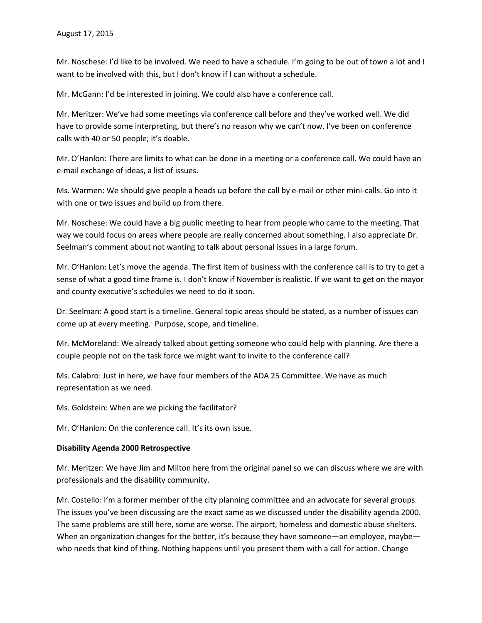Mr. Noschese: I'd like to be involved. We need to have a schedule. I'm going to be out of town a lot and I want to be involved with this, but I don't know if I can without a schedule.

Mr. McGann: I'd be interested in joining. We could also have a conference call.

Mr. Meritzer: We've had some meetings via conference call before and they've worked well. We did have to provide some interpreting, but there's no reason why we can't now. I've been on conference calls with 40 or 50 people; it's doable.

Mr. O'Hanlon: There are limits to what can be done in a meeting or a conference call. We could have an e-mail exchange of ideas, a list of issues.

Ms. Warmen: We should give people a heads up before the call by e-mail or other mini-calls. Go into it with one or two issues and build up from there.

Mr. Noschese: We could have a big public meeting to hear from people who came to the meeting. That way we could focus on areas where people are really concerned about something. I also appreciate Dr. Seelman's comment about not wanting to talk about personal issues in a large forum.

Mr. O'Hanlon: Let's move the agenda. The first item of business with the conference call is to try to get a sense of what a good time frame is. I don't know if November is realistic. If we want to get on the mayor and county executive's schedules we need to do it soon.

Dr. Seelman: A good start is a timeline. General topic areas should be stated, as a number of issues can come up at every meeting. Purpose, scope, and timeline.

Mr. McMoreland: We already talked about getting someone who could help with planning. Are there a couple people not on the task force we might want to invite to the conference call?

Ms. Calabro: Just in here, we have four members of the ADA 25 Committee. We have as much representation as we need.

Ms. Goldstein: When are we picking the facilitator?

Mr. O'Hanlon: On the conference call. It's its own issue.

### **Disability Agenda 2000 Retrospective**

Mr. Meritzer: We have Jim and Milton here from the original panel so we can discuss where we are with professionals and the disability community.

Mr. Costello: I'm a former member of the city planning committee and an advocate for several groups. The issues you've been discussing are the exact same as we discussed under the disability agenda 2000. The same problems are still here, some are worse. The airport, homeless and domestic abuse shelters. When an organization changes for the better, it's because they have someone—an employee, maybe who needs that kind of thing. Nothing happens until you present them with a call for action. Change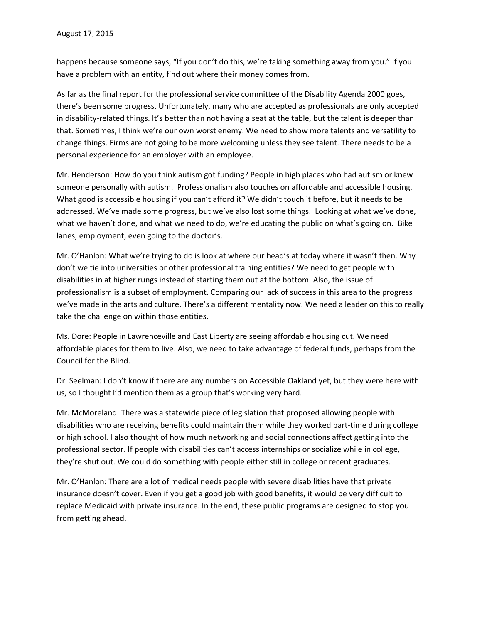happens because someone says, "If you don't do this, we're taking something away from you." If you have a problem with an entity, find out where their money comes from.

As far as the final report for the professional service committee of the Disability Agenda 2000 goes, there's been some progress. Unfortunately, many who are accepted as professionals are only accepted in disability-related things. It's better than not having a seat at the table, but the talent is deeper than that. Sometimes, I think we're our own worst enemy. We need to show more talents and versatility to change things. Firms are not going to be more welcoming unless they see talent. There needs to be a personal experience for an employer with an employee.

Mr. Henderson: How do you think autism got funding? People in high places who had autism or knew someone personally with autism. Professionalism also touches on affordable and accessible housing. What good is accessible housing if you can't afford it? We didn't touch it before, but it needs to be addressed. We've made some progress, but we've also lost some things. Looking at what we've done, what we haven't done, and what we need to do, we're educating the public on what's going on. Bike lanes, employment, even going to the doctor's.

Mr. O'Hanlon: What we're trying to do is look at where our head's at today where it wasn't then. Why don't we tie into universities or other professional training entities? We need to get people with disabilities in at higher rungs instead of starting them out at the bottom. Also, the issue of professionalism is a subset of employment. Comparing our lack of success in this area to the progress we've made in the arts and culture. There's a different mentality now. We need a leader on this to really take the challenge on within those entities.

Ms. Dore: People in Lawrenceville and East Liberty are seeing affordable housing cut. We need affordable places for them to live. Also, we need to take advantage of federal funds, perhaps from the Council for the Blind.

Dr. Seelman: I don't know if there are any numbers on Accessible Oakland yet, but they were here with us, so I thought I'd mention them as a group that's working very hard.

Mr. McMoreland: There was a statewide piece of legislation that proposed allowing people with disabilities who are receiving benefits could maintain them while they worked part-time during college or high school. I also thought of how much networking and social connections affect getting into the professional sector. If people with disabilities can't access internships or socialize while in college, they're shut out. We could do something with people either still in college or recent graduates.

Mr. O'Hanlon: There are a lot of medical needs people with severe disabilities have that private insurance doesn't cover. Even if you get a good job with good benefits, it would be very difficult to replace Medicaid with private insurance. In the end, these public programs are designed to stop you from getting ahead.